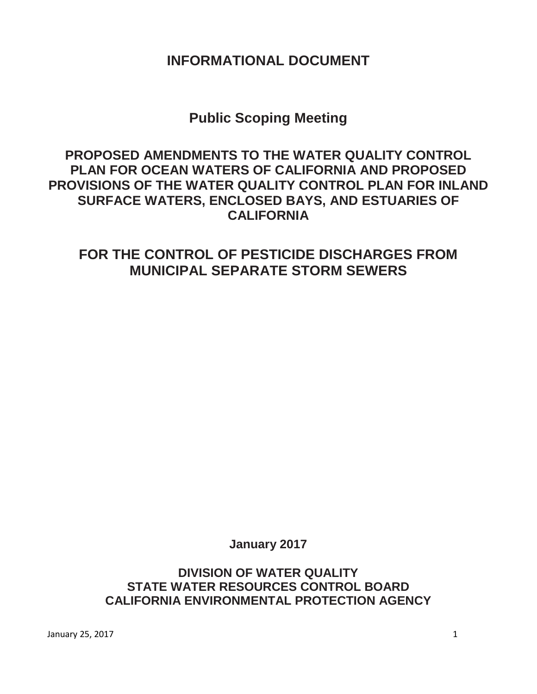## **INFORMATIONAL DOCUMENT**

# **Public Scoping Meeting**

## **PROPOSED AMENDMENTS TO THE WATER QUALITY CONTROL PLAN FOR OCEAN WATERS OF CALIFORNIA AND PROPOSED PROVISIONS OF THE WATER QUALITY CONTROL PLAN FOR INLAND SURFACE WATERS, ENCLOSED BAYS, AND ESTUARIES OF CALIFORNIA**

# **FOR THE CONTROL OF PESTICIDE DISCHARGES FROM MUNICIPAL SEPARATE STORM SEWERS**

**January 2017**

## **DIVISION OF WATER QUALITY STATE WATER RESOURCES CONTROL BOARD CALIFORNIA ENVIRONMENTAL PROTECTION AGENCY**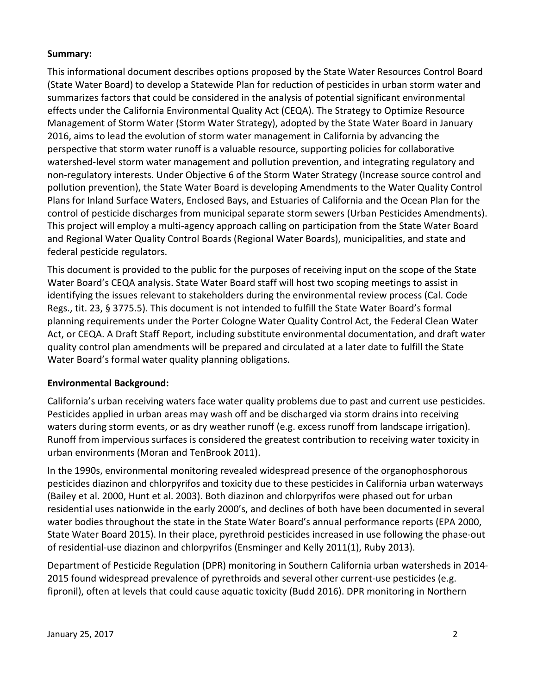#### **Summary:**

This informational document describes options proposed by the State Water Resources Control Board (State Water Board) to develop a Statewide Plan for reduction of pesticides in urban storm water and summarizes factors that could be considered in the analysis of potential significant environmental effects under the California Environmental Quality Act (CEQA). The Strategy to Optimize Resource Management of Storm Water (Storm Water Strategy), adopted by the State Water Board in January 2016, aims to lead the evolution of storm water management in California by advancing the perspective that storm water runoff is a valuable resource, supporting policies for collaborative watershed-level storm water management and pollution prevention, and integrating regulatory and non-regulatory interests. Under Objective 6 of the Storm Water Strategy (Increase source control and pollution prevention), the State Water Board is developing Amendments to the Water Quality Control Plans for Inland Surface Waters, Enclosed Bays, and Estuaries of California and the Ocean Plan for the control of pesticide discharges from municipal separate storm sewers (Urban Pesticides Amendments). This project will employ a multi-agency approach calling on participation from the State Water Board and Regional Water Quality Control Boards (Regional Water Boards), municipalities, and state and federal pesticide regulators.

This document is provided to the public for the purposes of receiving input on the scope of the State Water Board's CEQA analysis. State Water Board staff will host two scoping meetings to assist in identifying the issues relevant to stakeholders during the environmental review process (Cal. Code Regs., tit. 23, § 3775.5). This document is not intended to fulfill the State Water Board's formal planning requirements under the Porter Cologne Water Quality Control Act, the Federal Clean Water Act, or CEQA. A Draft Staff Report, including substitute environmental documentation, and draft water quality control plan amendments will be prepared and circulated at a later date to fulfill the State Water Board's formal water quality planning obligations.

#### **Environmental Background:**

California's urban receiving waters face water quality problems due to past and current use pesticides. Pesticides applied in urban areas may wash off and be discharged via storm drains into receiving waters during storm events, or as dry weather runoff (e.g. excess runoff from landscape irrigation). Runoff from impervious surfaces is considered the greatest contribution to receiving water toxicity in urban environments (Moran and TenBrook 2011).

In the 1990s, environmental monitoring revealed widespread presence of the organophosphorous pesticides diazinon and chlorpyrifos and toxicity due to these pesticides in California urban waterways (Bailey et al. 2000, Hunt et al. 2003). Both diazinon and chlorpyrifos were phased out for urban residential uses nationwide in the early 2000's, and declines of both have been documented in several water bodies throughout the state in the State Water Board's annual performance reports (EPA 2000, State Water Board 2015). In their place, pyrethroid pesticides increased in use following the phase-out of residential-use diazinon and chlorpyrifos (Ensminger and Kelly 2011(1), Ruby 2013).

Department of Pesticide Regulation (DPR) monitoring in Southern California urban watersheds in 2014- 2015 found widespread prevalence of pyrethroids and several other current-use pesticides (e.g. fipronil), often at levels that could cause aquatic toxicity (Budd 2016). DPR monitoring in Northern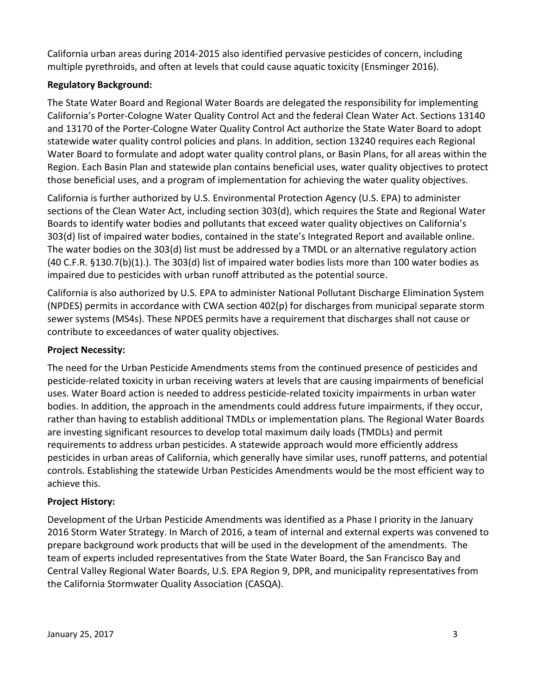California urban areas during 2014-2015 also identified pervasive pesticides of concern, including multiple pyrethroids, and often at levels that could cause aquatic toxicity (Ensminger 2016).

### **Regulatory Background:**

The State Water Board and Regional Water Boards are delegated the responsibility for implementing California's Porter-Cologne Water Quality Control Act and the federal Clean Water Act. Sections 13140 and 13170 of the Porter-Cologne Water Quality Control Act authorize the State Water Board to adopt statewide water quality control policies and plans. In addition, section 13240 requires each Regional Water Board to formulate and adopt water quality control plans, or Basin Plans, for all areas within the Region. Each Basin Plan and statewide plan contains beneficial uses, water quality objectives to protect those beneficial uses, and a program of implementation for achieving the water quality objectives.

California is further authorized by U.S. Environmental Protection Agency (U.S. EPA) to administer sections of the Clean Water Act, including section 303(d), which requires the State and Regional Water Boards to identify water bodies and pollutants that exceed water quality objectives on California's 303(d) list of impaired water bodies, contained in the state's Integrated Report and available online. The water bodies on the 303(d) list must be addressed by a TMDL or an alternative regulatory action (40 C.F.R. §130.7(b)(1).). The 303(d) list of impaired water bodies lists more than 100 water bodies as impaired due to pesticides with urban runoff attributed as the potential source.

California is also authorized by U.S. EPA to administer National Pollutant Discharge Elimination System (NPDES) permits in accordance with CWA section 402(p) for discharges from municipal separate storm sewer systems (MS4s). These NPDES permits have a requirement that discharges shall not cause or contribute to exceedances of water quality objectives.

#### **Project Necessity:**

The need for the Urban Pesticide Amendments stems from the continued presence of pesticides and pesticide-related toxicity in urban receiving waters at levels that are causing impairments of beneficial uses. Water Board action is needed to address pesticide-related toxicity impairments in urban water bodies. In addition, the approach in the amendments could address future impairments, if they occur, rather than having to establish additional TMDLs or implementation plans. The Regional Water Boards are investing significant resources to develop total maximum daily loads (TMDLs) and permit requirements to address urban pesticides. A statewide approach would more efficiently address pesticides in urban areas of California, which generally have similar uses, runoff patterns, and potential controls. Establishing the statewide Urban Pesticides Amendments would be the most efficient way to achieve this.

#### **Project History:**

Development of the Urban Pesticide Amendments was identified as a Phase I priority in the January 2016 Storm Water Strategy. In March of 2016, a team of internal and external experts was convened to prepare background work products that will be used in the development of the amendments. The team of experts included representatives from the State Water Board, the San Francisco Bay and Central Valley Regional Water Boards, U.S. EPA Region 9, DPR, and municipality representatives from the California Stormwater Quality Association (CASQA).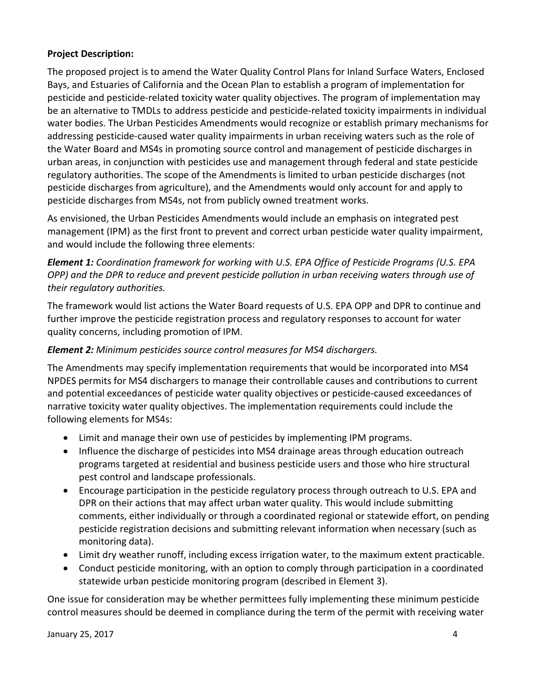#### **Project Description:**

The proposed project is to amend the Water Quality Control Plans for Inland Surface Waters, Enclosed Bays, and Estuaries of California and the Ocean Plan to establish a program of implementation for pesticide and pesticide-related toxicity water quality objectives. The program of implementation may be an alternative to TMDLs to address pesticide and pesticide-related toxicity impairments in individual water bodies. The Urban Pesticides Amendments would recognize or establish primary mechanisms for addressing pesticide-caused water quality impairments in urban receiving waters such as the role of the Water Board and MS4s in promoting source control and management of pesticide discharges in urban areas, in conjunction with pesticides use and management through federal and state pesticide regulatory authorities. The scope of the Amendments is limited to urban pesticide discharges (not pesticide discharges from agriculture), and the Amendments would only account for and apply to pesticide discharges from MS4s, not from publicly owned treatment works.

As envisioned, the Urban Pesticides Amendments would include an emphasis on integrated pest management (IPM) as the first front to prevent and correct urban pesticide water quality impairment, and would include the following three elements:

*Element 1: Coordination framework for working with U.S. EPA Office of Pesticide Programs (U.S. EPA OPP) and the DPR to reduce and prevent pesticide pollution in urban receiving waters through use of their regulatory authorities.* 

The framework would list actions the Water Board requests of U.S. EPA OPP and DPR to continue and further improve the pesticide registration process and regulatory responses to account for water quality concerns, including promotion of IPM.

#### *Element 2: Minimum pesticides source control measures for MS4 dischargers.*

The Amendments may specify implementation requirements that would be incorporated into MS4 NPDES permits for MS4 dischargers to manage their controllable causes and contributions to current and potential exceedances of pesticide water quality objectives or pesticide-caused exceedances of narrative toxicity water quality objectives. The implementation requirements could include the following elements for MS4s:

- Limit and manage their own use of pesticides by implementing IPM programs.
- Influence the discharge of pesticides into MS4 drainage areas through education outreach programs targeted at residential and business pesticide users and those who hire structural pest control and landscape professionals.
- Encourage participation in the pesticide regulatory process through outreach to U.S. EPA and DPR on their actions that may affect urban water quality. This would include submitting comments, either individually or through a coordinated regional or statewide effort, on pending pesticide registration decisions and submitting relevant information when necessary (such as monitoring data).
- Limit dry weather runoff, including excess irrigation water, to the maximum extent practicable.
- Conduct pesticide monitoring, with an option to comply through participation in a coordinated statewide urban pesticide monitoring program (described in Element 3).

One issue for consideration may be whether permittees fully implementing these minimum pesticide control measures should be deemed in compliance during the term of the permit with receiving water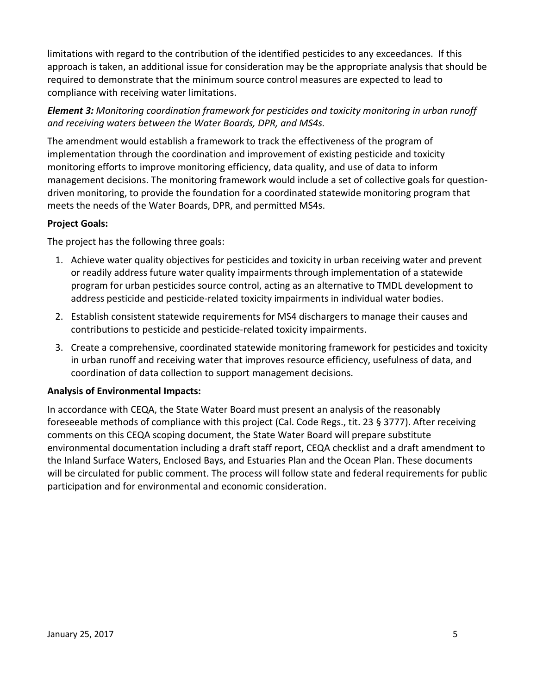limitations with regard to the contribution of the identified pesticides to any exceedances. If this approach is taken, an additional issue for consideration may be the appropriate analysis that should be required to demonstrate that the minimum source control measures are expected to lead to compliance with receiving water limitations.

### *Element 3: Monitoring coordination framework for pesticides and toxicity monitoring in urban runoff and receiving waters between the Water Boards, DPR, and MS4s.*

The amendment would establish a framework to track the effectiveness of the program of implementation through the coordination and improvement of existing pesticide and toxicity monitoring efforts to improve monitoring efficiency, data quality, and use of data to inform management decisions. The monitoring framework would include a set of collective goals for questiondriven monitoring, to provide the foundation for a coordinated statewide monitoring program that meets the needs of the Water Boards, DPR, and permitted MS4s.

### **Project Goals:**

The project has the following three goals:

- 1. Achieve water quality objectives for pesticides and toxicity in urban receiving water and prevent or readily address future water quality impairments through implementation of a statewide program for urban pesticides source control, acting as an alternative to TMDL development to address pesticide and pesticide-related toxicity impairments in individual water bodies.
- 2. Establish consistent statewide requirements for MS4 dischargers to manage their causes and contributions to pesticide and pesticide-related toxicity impairments.
- 3. Create a comprehensive, coordinated statewide monitoring framework for pesticides and toxicity in urban runoff and receiving water that improves resource efficiency, usefulness of data, and coordination of data collection to support management decisions.

#### **Analysis of Environmental Impacts:**

In accordance with CEQA, the State Water Board must present an analysis of the reasonably foreseeable methods of compliance with this project (Cal. Code Regs., tit. 23 § 3777). After receiving comments on this CEQA scoping document, the State Water Board will prepare substitute environmental documentation including a draft staff report, CEQA checklist and a draft amendment to the Inland Surface Waters, Enclosed Bays, and Estuaries Plan and the Ocean Plan. These documents will be circulated for public comment. The process will follow state and federal requirements for public participation and for environmental and economic consideration.